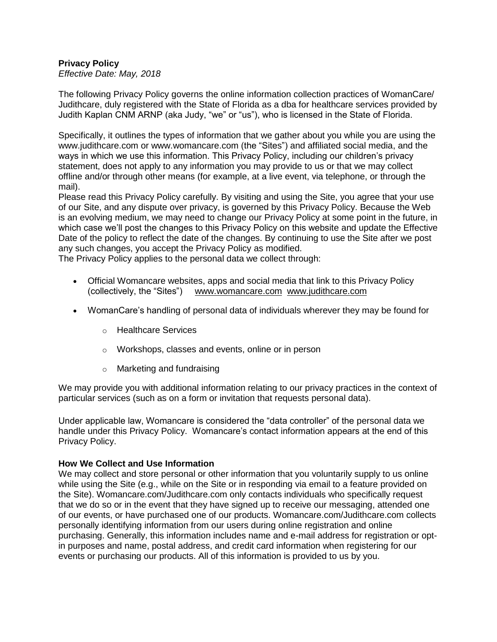# **Privacy Policy**

*Effective Date: May, 2018*

The following Privacy Policy governs the online information collection practices of WomanCare/ Judithcare, duly registered with the State of Florida as a dba for healthcare services provided by Judith Kaplan CNM ARNP (aka Judy, "we" or "us"), who is licensed in the State of Florida.

Specifically, it outlines the types of information that we gather about you while you are using the [www.judithcare.com](http://www.judithcare.com/) or www.womancare.com (the "Sites") and affiliated social media, and the ways in which we use this information. This Privacy Policy, including our children's privacy statement, does not apply to any information you may provide to us or that we may collect offline and/or through other means (for example, at a live event, via telephone, or through the mail).

Please read this Privacy Policy carefully. By visiting and using the Site, you agree that your use of our Site, and any dispute over privacy, is governed by this Privacy Policy. Because the Web is an evolving medium, we may need to change our Privacy Policy at some point in the future, in which case we'll post the changes to this Privacy Policy on this website and update the Effective Date of the policy to reflect the date of the changes. By continuing to use the Site after we post any such changes, you accept the Privacy Policy as modified.

The Privacy Policy applies to the personal data we collect through:

- Official Womancare websites, apps and social media that link to this Privacy Policy (collectively, the "Sites") [www.womancare.com](http://www.womancare.com/) [www.judithcare.com](http://www.balkankosher.com/)
- WomanCare's handling of personal data of individuals wherever they may be found for
	- o Healthcare Services
	- o Workshops, classes and events, online or in person
	- o Marketing and fundraising

We may provide you with additional information relating to our privacy practices in the context of particular services (such as on a form or invitation that requests personal data).

Under applicable law, Womancare is considered the "data controller" of the personal data we handle under this Privacy Policy. Womancare's contact information appears at the end of this Privacy Policy.

#### **How We Collect and Use Information**

We may collect and store personal or other information that you voluntarily supply to us online while using the Site (e.g., while on the Site or in responding via email to a feature provided on the Site). Womancare.com/Judithcare.com only contacts individuals who specifically request that we do so or in the event that they have signed up to receive our messaging, attended one of our events, or have purchased one of our products. Womancare.com/Judithcare.com collects personally identifying information from our users during online registration and online purchasing. Generally, this information includes name and e-mail address for registration or optin purposes and name, postal address, and credit card information when registering for our events or purchasing our products. All of this information is provided to us by you.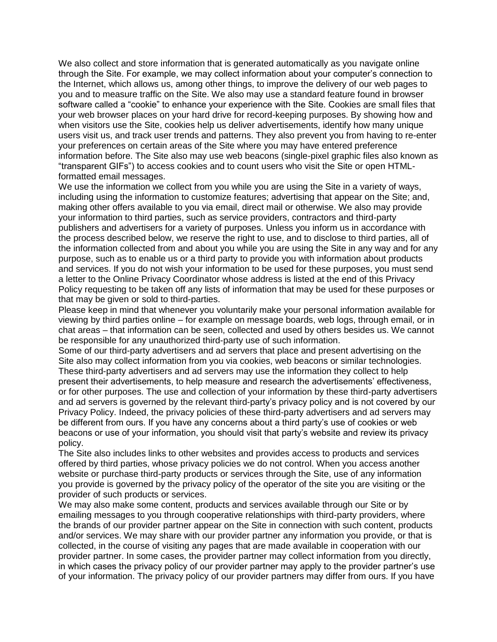We also collect and store information that is generated automatically as you navigate online through the Site. For example, we may collect information about your computer's connection to the Internet, which allows us, among other things, to improve the delivery of our web pages to you and to measure traffic on the Site. We also may use a standard feature found in browser software called a "cookie" to enhance your experience with the Site. Cookies are small files that your web browser places on your hard drive for record-keeping purposes. By showing how and when visitors use the Site, cookies help us deliver advertisements, identify how many unique users visit us, and track user trends and patterns. They also prevent you from having to re-enter your preferences on certain areas of the Site where you may have entered preference information before. The Site also may use web beacons (single-pixel graphic files also known as "transparent GIFs") to access cookies and to count users who visit the Site or open HTMLformatted email messages.

We use the information we collect from you while you are using the Site in a variety of ways, including using the information to customize features; advertising that appear on the Site; and, making other offers available to you via email, direct mail or otherwise. We also may provide your information to third parties, such as service providers, contractors and third-party publishers and advertisers for a variety of purposes. Unless you inform us in accordance with the process described below, we reserve the right to use, and to disclose to third parties, all of the information collected from and about you while you are using the Site in any way and for any purpose, such as to enable us or a third party to provide you with information about products and services. If you do not wish your information to be used for these purposes, you must send a letter to the Online Privacy Coordinator whose address is listed at the end of this Privacy Policy requesting to be taken off any lists of information that may be used for these purposes or that may be given or sold to third-parties.

Please keep in mind that whenever you voluntarily make your personal information available for viewing by third parties online – for example on message boards, web logs, through email, or in chat areas – that information can be seen, collected and used by others besides us. We cannot be responsible for any unauthorized third-party use of such information.

Some of our third-party advertisers and ad servers that place and present advertising on the Site also may collect information from you via cookies, web beacons or similar technologies. These third-party advertisers and ad servers may use the information they collect to help present their advertisements, to help measure and research the advertisements' effectiveness, or for other purposes. The use and collection of your information by these third-party advertisers and ad servers is governed by the relevant third-party's privacy policy and is not covered by our Privacy Policy. Indeed, the privacy policies of these third-party advertisers and ad servers may be different from ours. If you have any concerns about a third party's use of cookies or web beacons or use of your information, you should visit that party's website and review its privacy policy.

The Site also includes links to other websites and provides access to products and services offered by third parties, whose privacy policies we do not control. When you access another website or purchase third-party products or services through the Site, use of any information you provide is governed by the privacy policy of the operator of the site you are visiting or the provider of such products or services.

We may also make some content, products and services available through our Site or by emailing messages to you through cooperative relationships with third-party providers, where the brands of our provider partner appear on the Site in connection with such content, products and/or services. We may share with our provider partner any information you provide, or that is collected, in the course of visiting any pages that are made available in cooperation with our provider partner. In some cases, the provider partner may collect information from you directly, in which cases the privacy policy of our provider partner may apply to the provider partner's use of your information. The privacy policy of our provider partners may differ from ours. If you have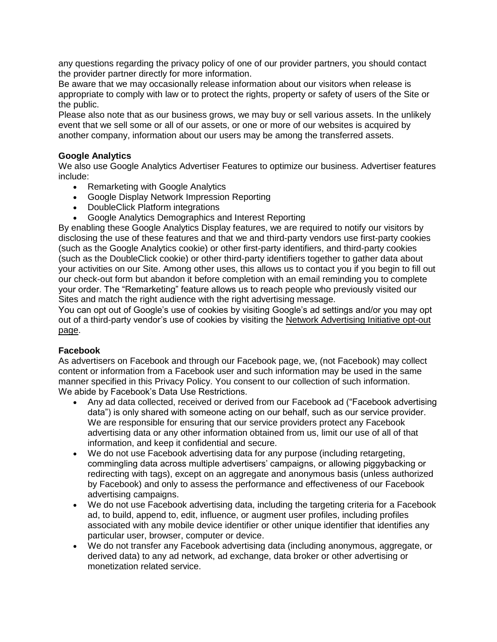any questions regarding the privacy policy of one of our provider partners, you should contact the provider partner directly for more information.

Be aware that we may occasionally release information about our visitors when release is appropriate to comply with law or to protect the rights, property or safety of users of the Site or the public.

Please also note that as our business grows, we may buy or sell various assets. In the unlikely event that we sell some or all of our assets, or one or more of our websites is acquired by another company, information about our users may be among the transferred assets.

### **Google Analytics**

We also use Google Analytics Advertiser Features to optimize our business. Advertiser features include:

- Remarketing with Google Analytics
- Google Display Network Impression Reporting
- DoubleClick Platform integrations
- Google Analytics Demographics and Interest Reporting

By enabling these Google Analytics Display features, we are required to notify our visitors by disclosing the use of these features and that we and third-party vendors use first-party cookies (such as the Google Analytics cookie) or other first-party identifiers, and third-party cookies (such as the DoubleClick cookie) or other third-party identifiers together to gather data about your activities on our Site. Among other uses, this allows us to contact you if you begin to fill out our check-out form but abandon it before completion with an email reminding you to complete your order. The "Remarketing" feature allows us to reach people who previously visited our Sites and match the right audience with the right advertising message.

You can opt out of Google's use of cookies by visiting Google's ad settings and/or you may opt out of a third-party vendor's use of cookies by visiting the [Network Advertising Initiative opt-out](http://optout.networkadvertising.org/?c=1#!/)  [page.](http://optout.networkadvertising.org/?c=1#!/)

### **Facebook**

As advertisers on Facebook and through our Facebook page, we, (not Facebook) may collect content or information from a Facebook user and such information may be used in the same manner specified in this Privacy Policy. You consent to our collection of such information. We abide by Facebook's Data Use Restrictions.

- Any ad data collected, received or derived from our Facebook ad ("Facebook advertising data") is only shared with someone acting on our behalf, such as our service provider. We are responsible for ensuring that our service providers protect any Facebook advertising data or any other information obtained from us, limit our use of all of that information, and keep it confidential and secure.
- We do not use Facebook advertising data for any purpose (including retargeting, commingling data across multiple advertisers' campaigns, or allowing piggybacking or redirecting with tags), except on an aggregate and anonymous basis (unless authorized by Facebook) and only to assess the performance and effectiveness of our Facebook advertising campaigns.
- We do not use Facebook advertising data, including the targeting criteria for a Facebook ad, to build, append to, edit, influence, or augment user profiles, including profiles associated with any mobile device identifier or other unique identifier that identifies any particular user, browser, computer or device.
- We do not transfer any Facebook advertising data (including anonymous, aggregate, or derived data) to any ad network, ad exchange, data broker or other advertising or monetization related service.